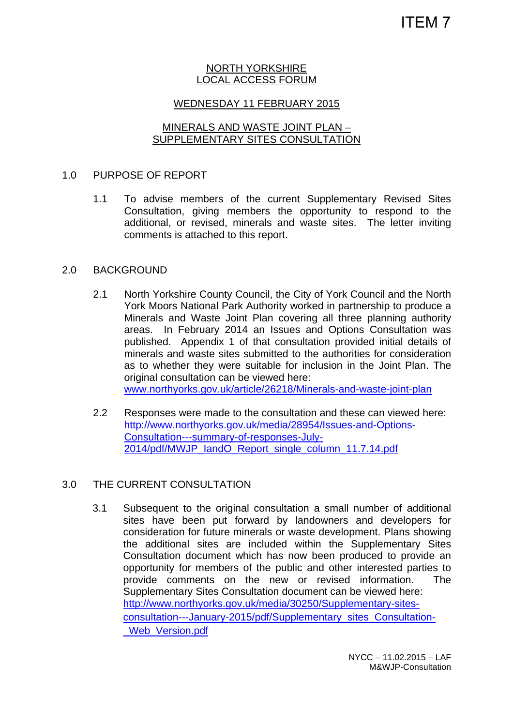#### NORTH YORKSHIRE LOCAL ACCESS FORUM

## WEDNESDAY 11 FEBRUARY 2015

# MINERALS AND WASTE JOINT PLAN – SUPPLEMENTARY SITES CONSULTATION

### 1.0 PURPOSE OF REPORT

1.1 To advise members of the current Supplementary Revised Sites Consultation, giving members the opportunity to respond to the additional, or revised, minerals and waste sites. The letter inviting comments is attached to this report.

#### 2.0 BACKGROUND

- 2.1 North Yorkshire County Council, the City of York Council and the North York Moors National Park Authority worked in partnership to produce a Minerals and Waste Joint Plan covering all three planning authority areas. In February 2014 an Issues and Options Consultation was published. Appendix 1 of that consultation provided initial details of minerals and waste sites submitted to the authorities for consideration as to whether they were suitable for inclusion in the Joint Plan. The original consultation can be viewed here: www.northyorks.gov.uk/article/26218/Minerals-and-waste-joint-plan
- 2.2 Responses were made to the consultation and these can viewed here: http://www.northyorks.gov.uk/media/28954/Issues-and-Options-Consultation---summary-of-responses-July-2014/pdf/MWJP\_IandO\_Report\_single\_column\_11.7.14.pdf

## 3.0 THE CURRENT CONSULTATION

3.1 Subsequent to the original consultation a small number of additional sites have been put forward by landowners and developers for consideration for future minerals or waste development. Plans showing the additional sites are included within the Supplementary Sites Consultation document which has now been produced to provide an opportunity for members of the public and other interested parties to provide comments on the new or revised information. The Supplementary Sites Consultation document can be viewed here: http://www.northyorks.gov.uk/media/30250/Supplementary-sitesconsultation---January-2015/pdf/Supplementary\_sites\_Consultation- Web\_Version.pdf